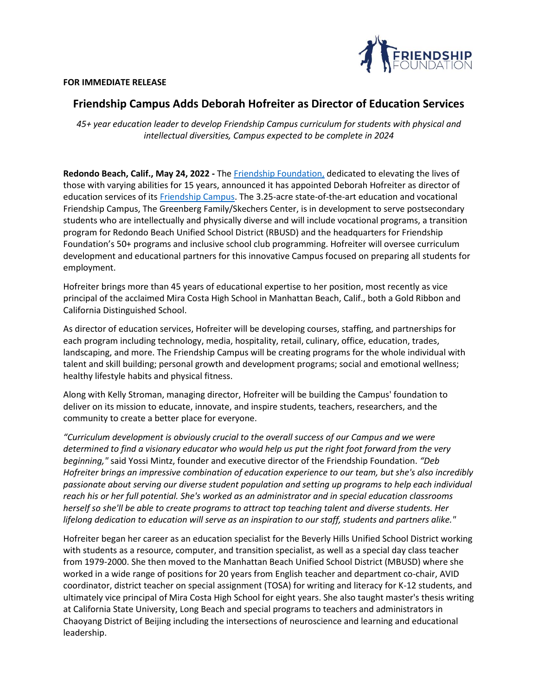## RIENDSHIP<br>Deindation

## **FOR IMMEDIATE RELEASE**

## **Friendship Campus Adds Deborah Hofreiter as Director of Education Services**

*45+ year education leader to develop Friendship Campus curriculum for students with physical and intellectual diversities, Campus expected to be complete in 2024*

**Redondo Beach, Calif., May 24, 2022 -** The [Friendship Foundation,](http://www.friendshipfoundation.com/) dedicated to elevating the lives of those with varying abilities for 15 years, announced it has appointed Deborah Hofreiter as director of education services of its [Friendship Campus.](https://www.friendshipfoundation.com/video/) The 3.25-acre state-of-the-art education and vocational Friendship Campus, The Greenberg Family/Skechers Center, is in development to serve postsecondary students who are intellectually and physically diverse and will include vocational programs, a transition program for Redondo Beach Unified School District (RBUSD) and the headquarters for Friendship Foundation's 50+ programs and inclusive school club programming. Hofreiter will oversee curriculum development and educational partners for this innovative Campus focused on preparing all students for employment.

Hofreiter brings more than 45 years of educational expertise to her position, most recently as vice principal of the acclaimed Mira Costa High School in Manhattan Beach, Calif., both a Gold Ribbon and California Distinguished School.

As director of education services, Hofreiter will be developing courses, staffing, and partnerships for each program including technology, media, hospitality, retail, culinary, office, education, trades, landscaping, and more. The Friendship Campus will be creating programs for the whole individual with talent and skill building; personal growth and development programs; social and emotional wellness; healthy lifestyle habits and physical fitness.

Along with Kelly Stroman, managing director, Hofreiter will be building the Campus' foundation to deliver on its mission to educate, innovate, and inspire students, teachers, researchers, and the community to create a better place for everyone.

*"Curriculum development is obviously crucial to the overall success of our Campus and we were determined to find a visionary educator who would help us put the right foot forward from the very beginning,"* said Yossi Mintz, founder and executive director of the Friendship Foundation. *"Deb Hofreiter brings an impressive combination of education experience to our team, but she's also incredibly passionate about serving our diverse student population and setting up programs to help each individual reach his or her full potential. She's worked as an administrator and in special education classrooms herself so she'll be able to create programs to attract top teaching talent and diverse students. Her lifelong dedication to education will serve as an inspiration to our staff, students and partners alike."*

Hofreiter began her career as an education specialist for the Beverly Hills Unified School District working with students as a resource, computer, and transition specialist, as well as a special day class teacher from 1979-2000. She then moved to the Manhattan Beach Unified School District (MBUSD) where she worked in a wide range of positions for 20 years from English teacher and department co-chair, AVID coordinator, district teacher on special assignment (TOSA) for writing and literacy for K-12 students, and ultimately vice principal of Mira Costa High School for eight years. She also taught master's thesis writing at California State University, Long Beach and special programs to teachers and administrators in Chaoyang District of Beijing including the intersections of neuroscience and learning and educational leadership.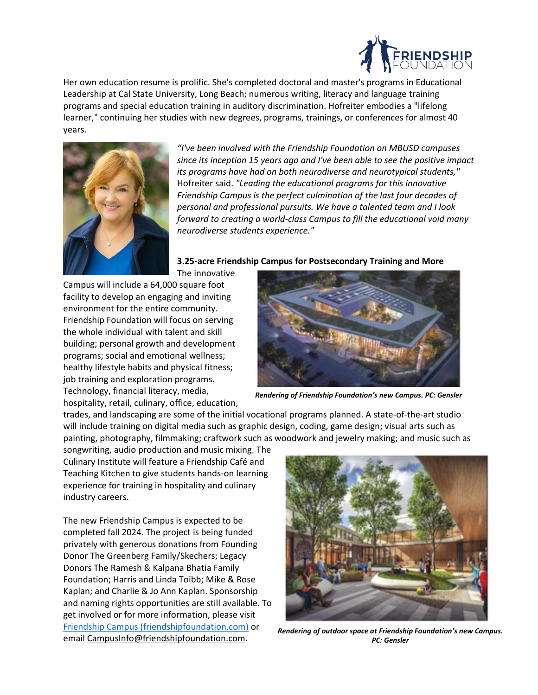

Her own education resume is prolific. She's completed doctoral and master's programs in Educational Leadership at Cal State University, Long Beach; numerous writing, literacy and language training programs and special education training in auditory discrimination. Hofreiter embodies a "lifelong learner," continuing her studies with new degrees, programs, trainings, or conferences for almost 40 years.



*"I've been involved with the Friendship Foundation on MBUSD campuses since its inception 15 years ago and I've been able to see the positive impact its programs have had on both neurodiverse and neurotypical students,"*  Hofreiter said. *"Leading the educational programs for this innovative Friendship Campus is the perfect culmination of the last four decades of personal and professional pursuits. We have a talented team and I look forward to creating a world-class Campus to fill the educational void many neurodiverse students experience."*

**3.25-acre Friendship Campus for Postsecondary Training and More**

The innovative Campus will include a 64,000 square foot facility to develop an engaging and inviting environment for the entire community. Friendship Foundation will focus on serving the whole individual with talent and skill building; personal growth and development programs; social and emotional wellness; healthy lifestyle habits and physical fitness; job training and exploration programs. Technology, financial literacy, media, hospitality, retail, culinary, office, education,



*Rendering of Friendship Foundation's new Campus. PC: Gensler*

trades, and landscaping are some of the initial vocational programs planned. A state-of-the-art studio will include training on digital media such as graphic design, coding, game design; visual arts such as painting, photography, filmmaking; craftwork such as woodwork and jewelry making; and music such as

songwriting, audio production and music mixing. The Culinary Institute will feature a Friendship Café and Teaching Kitchen to give students hands-on learning experience for training in hospitality and culinary industry careers.

The new Friendship Campus is expected to be completed fall 2024. The project is being funded privately with generous donations from Founding Donor The Greenberg Family/Skechers; Legacy Donors The Ramesh & Kalpana Bhatia Family Foundation; Harris and Linda Toibb; Mike & Rose Kaplan; and Charlie & Jo Ann Kaplan. Sponsorship and naming rights opportunities are still available. To get involved or for more information, please visit [Friendship Campus \(friendshipfoundation.com\)](https://www.friendshipfoundation.com/campus/) or email [CampusInfo@friendshipfoundation.com.](mailto:CampusInfo@friendshipfoundation.com)



*Rendering of outdoor space at Friendship Foundation's new Campus. PC: Gensler*